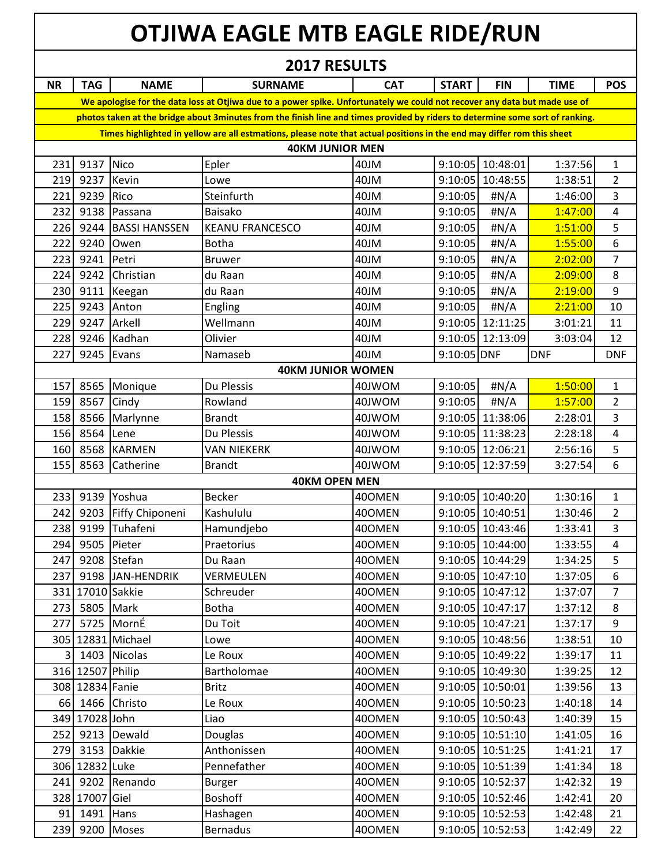## **OTJIWA EAGLE MTB EAGLE RIDE/RUN**

| <b>2017 RESULTS</b>     |                  |                      |                                                                                                                                |            |              |                  |             |                |
|-------------------------|------------------|----------------------|--------------------------------------------------------------------------------------------------------------------------------|------------|--------------|------------------|-------------|----------------|
| <b>NR</b>               | <b>TAG</b>       | <b>NAME</b>          | <b>SURNAME</b>                                                                                                                 | <b>CAT</b> | <b>START</b> | <b>FIN</b>       | <b>TIME</b> | <b>POS</b>     |
|                         |                  |                      | We apologise for the data loss at Otjiwa due to a power spike. Unfortunately we could not recover any data but made use of     |            |              |                  |             |                |
|                         |                  |                      | photos taken at the bridge about 3minutes from the finish line and times provided by riders to determine some sort of ranking. |            |              |                  |             |                |
|                         |                  |                      | Times highlighted in yellow are all estmations, please note that actual positions in the end may differ rom this sheet         |            |              |                  |             |                |
|                         |                  |                      | <b>40KM JUNIOR MEN</b>                                                                                                         |            |              |                  |             |                |
| 231                     | 9137             | <b>Nico</b>          | Epler                                                                                                                          | 40JM       | 9:10:05      | 10:48:01         | 1:37:56     | 1              |
| 219                     | 9237             | Kevin                | Lowe                                                                                                                           | 40JM       | 9:10:05      | 10:48:55         | 1:38:51     | $\overline{2}$ |
| 221                     | 9239             | Rico                 | Steinfurth                                                                                                                     | 40JM       | 9:10:05      | #N/A             | 1:46:00     | 3              |
| 232                     | 9138             | Passana              | <b>Baisako</b>                                                                                                                 | 40JM       | 9:10:05      | #N/A             | 1:47:00     | 4              |
| 226                     | 9244             | <b>BASSI HANSSEN</b> | <b>KEANU FRANCESCO</b>                                                                                                         | 40JM       | 9:10:05      | #N/A             | 1:51:00     | 5              |
| 222                     | 9240             | Owen                 | <b>Botha</b>                                                                                                                   | 40JM       | 9:10:05      | #N/A             | 1:55:00     | 6              |
| 223                     | 9241             | Petri                | <b>Bruwer</b>                                                                                                                  | 40JM       | 9:10:05      | #N/A             | 2:02:00     | 7              |
| 224                     | 9242             | Christian            | du Raan                                                                                                                        | 40JM       | 9:10:05      | #N/A             | 2:09:00     | 8              |
| 230                     | 9111             | Keegan               | du Raan                                                                                                                        | 40JM       | 9:10:05      | #N/A             | 2:19:00     | 9              |
| 225                     | 9243             | Anton                | Engling                                                                                                                        | 40JM       | 9:10:05      | #N/A             | 2:21:00     | 10             |
| 229                     | 9247             | Arkell               | Wellmann                                                                                                                       | 40JM       |              | 9:10:05 12:11:25 | 3:01:21     | 11             |
| 228                     | 9246             | Kadhan               | Olivier                                                                                                                        | 40JM       |              | 9:10:05 12:13:09 | 3:03:04     | 12             |
| 227                     | 9245             | Evans                | Namaseb                                                                                                                        | 40JM       | 9:10:05 DNF  |                  | <b>DNF</b>  | <b>DNF</b>     |
|                         |                  |                      | <b>40KM JUNIOR WOMEN</b>                                                                                                       |            |              |                  |             |                |
| 157                     |                  | 8565 Monique         | Du Plessis                                                                                                                     | 40JWOM     | 9:10:05      | #N/A             | 1:50:00     | 1              |
| 159                     |                  | 8567 Cindy           | Rowland                                                                                                                        | 40JWOM     | 9:10:05      | #N/A             | 1:57:00     | $\overline{2}$ |
| 158                     |                  | 8566 Marlynne        | <b>Brandt</b>                                                                                                                  | 40JWOM     |              | 9:10:05 11:38:06 | 2:28:01     | 3              |
| 156                     | 8564             | Lene                 | Du Plessis                                                                                                                     | 40JWOM     |              | 9:10:05 11:38:23 | 2:28:18     | 4              |
| 160                     | 8568             | <b>KARMEN</b>        | VAN NIEKERK                                                                                                                    | 40JWOM     |              | 9:10:05 12:06:21 | 2:56:16     | 5              |
| 155                     | 8563             | Catherine            | <b>Brandt</b>                                                                                                                  | 40JWOM     |              | 9:10:05 12:37:59 | 3:27:54     | 6              |
|                         |                  |                      | <b>40KM OPEN MEN</b>                                                                                                           |            |              |                  |             |                |
| 233                     |                  | 9139 Yoshua          | <b>Becker</b>                                                                                                                  | 40OMEN     |              | 9:10:05 10:40:20 | 1:30:16     | 1              |
| 242                     |                  | 9203 Fiffy Chiponeni | Kashululu                                                                                                                      | 40OMEN     |              | 9:10:05 10:40:51 | 1:30:46     | 2              |
| 238                     | 9199             | Tuhafeni             | Hamundjebo                                                                                                                     | 40OMEN     |              | 9:10:05 10:43:46 | 1:33:41     | 3              |
| 294                     |                  | 9505 Pieter          | Praetorius                                                                                                                     | 40OMEN     |              | 9:10:05 10:44:00 | 1:33:55     | 4              |
| 247                     |                  | 9208 Stefan          | Du Raan                                                                                                                        | 40OMEN     |              | 9:10:05 10:44:29 | 1:34:25     | 5              |
| 237                     |                  | 9198 JAN-HENDRIK     | VERMEULEN                                                                                                                      | 40OMEN     |              | 9:10:05 10:47:10 | 1:37:05     | 6              |
|                         |                  | 331 17010 Sakkie     | Schreuder                                                                                                                      | 40OMEN     |              | 9:10:05 10:47:12 | 1:37:07     | $\overline{7}$ |
| 273                     | 5805 Mark        |                      | <b>Botha</b>                                                                                                                   | 40OMEN     |              | 9:10:05 10:47:17 | 1:37:12     | 8              |
| 277                     |                  | 5725 MornÉ           | Du Toit                                                                                                                        | 40OMEN     |              | 9:10:05 10:47:21 | 1:37:17     | 9              |
|                         |                  | 305 12831 Michael    | Lowe                                                                                                                           | 40OMEN     |              | 9:10:05 10:48:56 | 1:38:51     | 10             |
| $\overline{\mathsf{3}}$ |                  | 1403 Nicolas         | Le Roux                                                                                                                        | 40OMEN     |              | 9:10:05 10:49:22 | 1:39:17     | 11             |
|                         | 316 12507 Philip |                      | Bartholomae                                                                                                                    | 40OMEN     |              | 9:10:05 10:49:30 | 1:39:25     | 12             |
|                         | 308 12834 Fanie  |                      | <b>Britz</b>                                                                                                                   | 40OMEN     |              | 9:10:05 10:50:01 | 1:39:56     | 13             |
|                         |                  | 66 1466 Christo      | Le Roux                                                                                                                        | 40OMEN     |              | 9:10:05 10:50:23 | 1:40:18     | 14             |
|                         | 349 17028 John   |                      | Liao                                                                                                                           | 40OMEN     |              | 9:10:05 10:50:43 | 1:40:39     | 15             |
| 252                     |                  | 9213 Dewald          | Douglas                                                                                                                        | 40OMEN     |              | 9:10:05 10:51:10 | 1:41:05     | 16             |
|                         |                  | 279 3153 Dakkie      | Anthonissen                                                                                                                    | 40OMEN     |              | 9:10:05 10:51:25 | 1:41:21     | 17             |
|                         | 306 12832 Luke   |                      | Pennefather                                                                                                                    | 40OMEN     |              | 9:10:05 10:51:39 | 1:41:34     | 18             |
| 241                     |                  | 9202 Renando         | <b>Burger</b>                                                                                                                  | 40OMEN     |              | 9:10:05 10:52:37 | 1:42:32     | 19             |
|                         | 328 17007 Giel   |                      | <b>Boshoff</b>                                                                                                                 | 40OMEN     |              | 9:10:05 10:52:46 | 1:42:41     | 20             |
| 91                      | 1491 Hans        |                      | Hashagen                                                                                                                       | 40OMEN     |              | 9:10:05 10:52:53 | 1:42:48     | 21             |
|                         |                  | 239 9200 Moses       | <b>Bernadus</b>                                                                                                                | 400MEN     |              | 9:10:05 10:52:53 | 1:42:49     | 22             |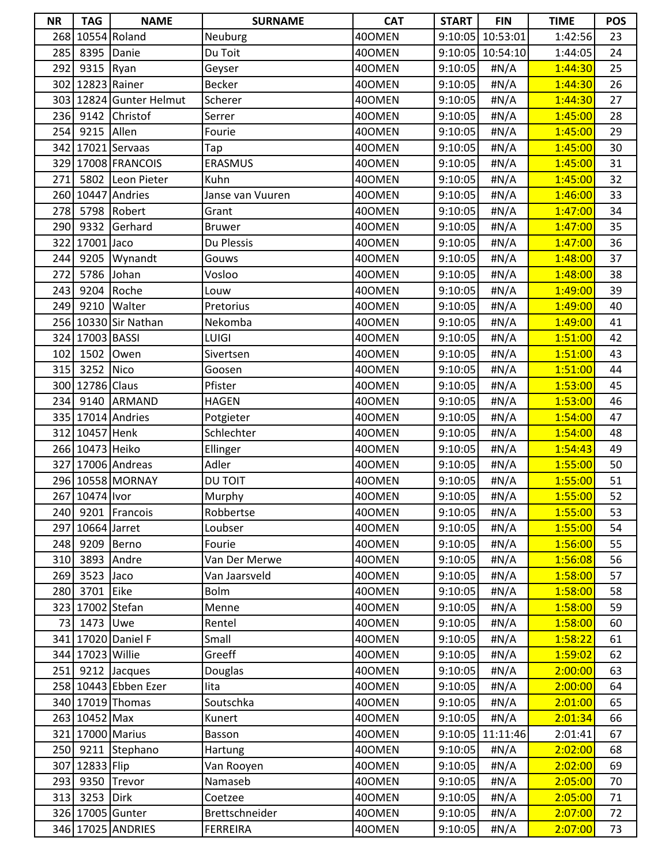| <b>NR</b> | <b>TAG</b>       | <b>NAME</b>             | <b>SURNAME</b>   | <b>CAT</b> | <b>START</b> | <b>FIN</b>       | <b>TIME</b> | <b>POS</b> |
|-----------|------------------|-------------------------|------------------|------------|--------------|------------------|-------------|------------|
|           |                  | 268 10554 Roland        | Neuburg          | 40OMEN     |              | 9:10:05 10:53:01 | 1:42:56     | 23         |
| 285       | 8395             | Danie                   | Du Toit          | 400MEN     |              | 9:10:05 10:54:10 | 1:44:05     | 24         |
| 292       | 9315 Ryan        |                         | Geyser           | 40OMEN     | 9:10:05      | #N/A             | 1:44:30     | 25         |
|           | 302 12823 Rainer |                         | <b>Becker</b>    | 40OMEN     | 9:10:05      | #N/A             | 1:44:30     | 26         |
|           |                  | 303 12824 Gunter Helmut | Scherer          | 40OMEN     | 9:10:05      | #N/A             | 1:44:30     | 27         |
| 236       | 9142             | Christof                | Serrer           | 40OMEN     | 9:10:05      | #N/A             | 1:45:00     | 28         |
| 254       | 9215 Allen       |                         | Fourie           | 400MEN     | 9:10:05      | #N/A             | 1:45:00     | 29         |
|           |                  | 342 17021 Servaas       | Tap              | 40OMEN     | 9:10:05      | #N/A             | 1:45:00     | 30         |
|           |                  | 329 17008 FRANCOIS      | <b>ERASMUS</b>   | 400MEN     | 9:10:05      | #N/A             | 1:45:00     | 31         |
| 271       |                  | 5802 Leon Pieter        | Kuhn             | 40OMEN     | 9:10:05      | #N/A             | 1:45:00     | 32         |
|           |                  | 260 10447 Andries       | Janse van Vuuren | 40OMEN     | 9:10:05      | #N/A             | 1:46:00     | 33         |
| 278       |                  | 5798 Robert             | Grant            | 40OMEN     | 9:10:05      | #N/A             | 1:47:00     | 34         |
| 290       | 9332             | Gerhard                 | <b>Bruwer</b>    | 40OMEN     | 9:10:05      | #N/A             | 1:47:00     | 35         |
|           | 322 17001 Jaco   |                         | Du Plessis       | 400MEN     | 9:10:05      | #N/A             | 1:47:00     | 36         |
| 244       | 9205             | Wynandt                 | Gouws            | 400MEN     | 9:10:05      | #N/A             | 1:48:00     | 37         |
| 272       |                  | 5786 Johan              | Vosloo           | 400MEN     | 9:10:05      | $\sharp N/A$     | 1:48:00     | 38         |
| 243       |                  | 9204 Roche              | Louw             | 40OMEN     | 9:10:05      | #N/A             | 1:49:00     | 39         |
| 249       | 9210             | Walter                  | Pretorius        | 40OMEN     | 9:10:05      | #N/A             | 1:49:00     | 40         |
|           |                  | 256 10330 Sir Nathan    | Nekomba          | 40OMEN     | 9:10:05      | #N/A             | 1:49:00     | 41         |
|           | 324 17003 BASSI  |                         | <b>LUIGI</b>     | 40OMEN     | 9:10:05      | #N/A             | 1:51:00     | 42         |
| 102       | 1502             | Owen                    | Sivertsen        | 40OMEN     | 9:10:05      | $\sharp N/A$     | 1:51:00     | 43         |
| 315       | 3252             | <b>Nico</b>             | Goosen           | 40OMEN     | 9:10:05      | #N/A             | 1:51:00     | 44         |
|           | 300 12786 Claus  |                         | Pfister          | 40OMEN     | 9:10:05      | #N/A             | 1:53:00     | 45         |
|           |                  | 234 9140 ARMAND         | <b>HAGEN</b>     | 40OMEN     | 9:10:05      | #N/A             | 1:53:00     | 46         |
|           |                  | 335 17014 Andries       | Potgieter        | 40OMEN     | 9:10:05      | #N/A             | 1:54:00     | 47         |
|           | 312 10457 Henk   |                         | Schlechter       | 400MEN     | 9:10:05      | #N/A             | 1:54:00     | 48         |
|           | 266 10473 Heiko  |                         | Ellinger         | 40OMEN     | 9:10:05      | #N/A             | 1:54:43     | 49         |
|           |                  | 327 17006 Andreas       | Adler            | 40OMEN     | 9:10:05      | #N/A             | 1:55:00     | 50         |
|           |                  | 296 10558 MORNAY        | DU TOIT          | 40OMEN     | 9:10:05      | $\sharp N/A$     | 1:55:00     | 51         |
|           | 267 10474 Ivor   |                         | Murphy           | 40OMEN     | 9:10:05      | #N/A             | 1:55:00     | 52         |
|           |                  | 240 9201 Francois       | Robbertse        | 400MEN     | 9:10:05      | #N/A             | 1:55:00     | 53         |
|           | 297 10664 Jarret |                         | Loubser          | 40OMEN     | 9:10:05      | #N/A             | 1:55:00     | 54         |
| 248       |                  | 9209 Berno              | Fourie           | 40OMEN     | 9:10:05      | #N/A             | 1:56:00     | 55         |
| 310       |                  | 3893 Andre              | Van Der Merwe    | 400MEN     | 9:10:05      | $\sharp N/A$     | 1:56:08     | 56         |
| 269       | 3523 Jaco        |                         | Van Jaarsveld    | 40OMEN     | 9:10:05      | $\sharp N/A$     | 1:58:00     | 57         |
| 280       | 3701 Eike        |                         | <b>Bolm</b>      | 40OMEN     | 9:10:05      | H N/A            | 1:58:00     | 58         |
|           | 323 17002 Stefan |                         | Menne            | 40OMEN     | 9:10:05      | #N/A             | 1:58:00     | 59         |
|           | 73 1473 Uwe      |                         | Rentel           | 400MEN     | 9:10:05      | # $N/A$          | 1:58:00     | 60         |
|           |                  | 341 17020 Daniel F      | Small            | 40OMEN     | 9:10:05      | #N/A             | 1:58:22     | 61         |
|           | 344 17023 Willie |                         | Greeff           | 400MEN     | 9:10:05      | # $N/A$          | 1:59:02     | 62         |
| 251       |                  | 9212 Jacques            | Douglas          | 40OMEN     | 9:10:05      | $\sharp N/A$     | 2:00:00     | 63         |
|           |                  | 258 10443 Ebben Ezer    | lita             | 40OMEN     | 9:10:05      | H N/A            | 2:00:00     | 64         |
|           |                  | 340 17019 Thomas        | Soutschka        | 40OMEN     | 9:10:05      | #N/A             | 2:01:00     | 65         |
|           | 263 10452 Max    |                         | Kunert           | 40OMEN     | 9:10:05      | #N/A             | 2:01:34     | 66         |
|           |                  | 321 17000 Marius        | Basson           | 400MEN     | 9:10:05      | 11:11:46         | 2:01:41     | 67         |
|           |                  | 250 9211 Stephano       | Hartung          | 40OMEN     | 9:10:05      | #N/A             | 2:02:00     | 68         |
|           | 307 12833 Flip   |                         | Van Rooyen       | 40OMEN     | 9:10:05      | #N/A             | 2:02:00     | 69         |
| 293       |                  | 9350 Trevor             | Namaseb          | 40OMEN     | 9:10:05      | $\sharp N/A$     | 2:05:00     | 70         |
| 313       | 3253 Dirk        |                         | Coetzee          | 40OMEN     | 9:10:05      | $\sharp N/A$     | 2:05:00     | 71         |
|           |                  | 326 17005 Gunter        | Brettschneider   | 40OMEN     | 9:10:05      | #N/A             | 2:07:00     | 72         |
|           |                  | 346 17025 ANDRIES       | <b>FERREIRA</b>  | 40OMEN     | 9:10:05      | #N/A             | 2:07:00     | 73         |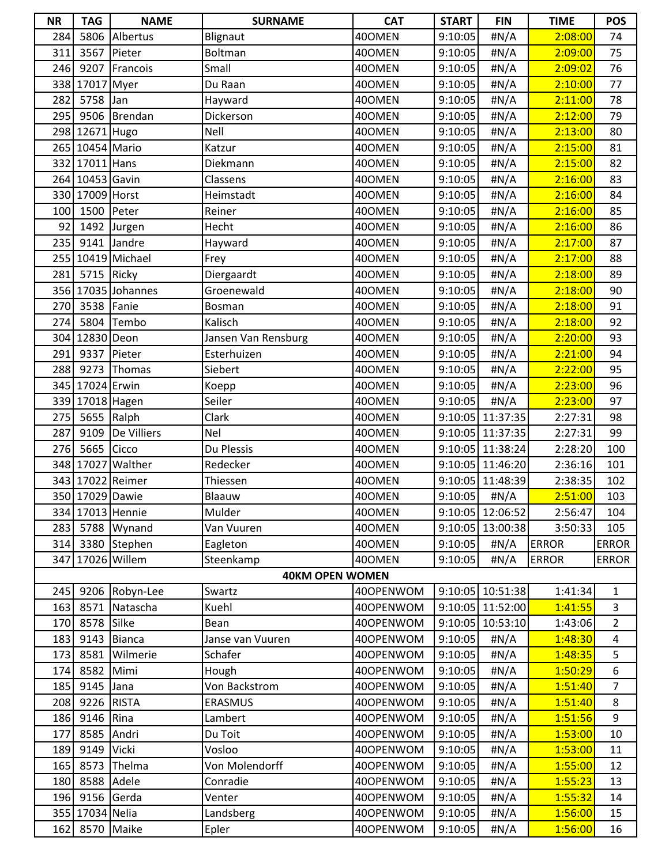| <b>NR</b>  | <b>TAG</b>         | <b>NAME</b>        | <b>SURNAME</b>           | <b>CAT</b>             | <b>START</b>       | <b>FIN</b>       | <b>TIME</b>        | <b>POS</b>                       |
|------------|--------------------|--------------------|--------------------------|------------------------|--------------------|------------------|--------------------|----------------------------------|
| 284        |                    | 5806 Albertus      | Blignaut                 | 40OMEN                 | 9:10:05            | #N/A             | 2:08:00            | 74                               |
| 311        | 3567               | Pieter             | <b>Boltman</b>           | 400MEN                 | 9:10:05            | #N/A             | 2:09:00            | 75                               |
| 246        | 9207               | Francois           | Small                    | 40OMEN                 | 9:10:05            | #N/A             | 2:09:02            | 76                               |
|            | 338 17017 Myer     |                    | Du Raan                  | 400MEN                 | 9:10:05            | #N/A             | 2:10:00            | 77                               |
| 282        | 5758 Jan           |                    | Hayward                  | 40OMEN                 | 9:10:05            | #N/A             | 2:11:00            | 78                               |
| 295        |                    | 9506 Brendan       | Dickerson                | 40OMEN                 | 9:10:05            | #N/A             | 2:12:00            | 79                               |
|            | 298 12671 Hugo     |                    | Nell                     | 40OMEN                 | 9:10:05            | #N/A             | 2:13:00            | 80                               |
|            | 265 10454 Mario    |                    | Katzur                   | 40OMEN                 | 9:10:05            | #N/A             | 2:15:00            | 81                               |
|            | 332 17011 Hans     |                    | Diekmann                 | 400MEN                 | 9:10:05            | #N/A             | 2:15:00            | 82                               |
|            | 264 10453 Gavin    |                    | Classens                 | 40OMEN                 | 9:10:05            | #N/A             | 2:16:00            | 83                               |
|            | 330 17009 Horst    |                    | Heimstadt                | 40OMEN                 | 9:10:05            | #N/A             | 2:16:00            | 84                               |
| 100        | 1500 Peter         |                    | Reiner                   | 40OMEN                 | 9:10:05            | #N/A             | 2:16:00            | 85                               |
| 92         |                    | 1492 Jurgen        | Hecht                    | 40OMEN                 | 9:10:05            | #N/A             | 2:16:00            | 86                               |
| 235        |                    | 9141 Jandre        | Hayward                  | 40OMEN                 | 9:10:05            | #N/A             | 2:17:00            | 87                               |
|            |                    | 255 10419 Michael  | Frey                     | 40OMEN                 | 9:10:05            | #N/A             | 2:17:00            | 88                               |
| 281        | 5715 Ricky         |                    | Diergaardt               | 400MEN                 | 9:10:05            | #N/A             | 2:18:00            | 89                               |
|            |                    | 356 17035 Johannes | Groenewald               | 40OMEN                 | 9:10:05            | #N/A             | 2:18:00            | 90                               |
| 270        | 3538 Fanie         |                    | <b>Bosman</b>            | 40OMEN                 | 9:10:05            | #N/A             | 2:18:00            | 91                               |
| 274        | 5804               | Tembo              | Kalisch                  | 40OMEN                 | 9:10:05            | #N/A             | 2:18:00            | 92                               |
|            | 304 12830 Deon     |                    | Jansen Van Rensburg      | 40OMEN                 | 9:10:05            | #N/A             | 2:20:00            | 93                               |
| 291        | 9337               | Pieter             | Esterhuizen              | 400MEN                 | 9:10:05            | #N/A             | 2:21:00            | 94                               |
| 288        | 9273               | Thomas             | Siebert                  | 40OMEN                 | 9:10:05            | #N/A             | 2:22:00            | 95                               |
|            | 345 17024 Erwin    |                    | Koepp                    | 400MEN                 | 9:10:05            | #N/A             | 2:23:00            | 96                               |
|            | 339 17018 Hagen    |                    | Seiler                   | 40OMEN                 | 9:10:05            | #N/A             | 2:23:00            | 97                               |
| 275        | 5655 Ralph         |                    | Clark                    | 40OMEN                 |                    | 9:10:05 11:37:35 | 2:27:31            | 98                               |
| 287        | 9109               | De Villiers        | Nel                      | 40OMEN                 |                    | 9:10:05 11:37:35 | 2:27:31            | 99                               |
| 276        | 5665               | Cicco              | Du Plessis               | 40OMEN                 |                    | 9:10:05 11:38:24 | 2:28:20            | 100                              |
|            |                    | 348 17027 Walther  | Redecker                 | 400MEN                 |                    | 9:10:05 11:46:20 | 2:36:16            | 101                              |
|            |                    | 343 17022 Reimer   | Thiessen                 | 400MEN                 | 9:10:05            | 11:48:39         | 2:38:35            | 102                              |
|            | 350 17029 Dawie    |                    | Blaauw                   | 400MEN                 | 9:10:05            | #N/A             | 2:51:00            | 103                              |
|            |                    | 334 17013 Hennie   | Mulder                   | 40OMEN                 |                    | 9:10:05 12:06:52 | 2:56:47            | 104                              |
| 283        |                    | 5788 Wynand        | Van Vuuren               | 40OMEN                 |                    | 9:10:05 13:00:38 | 3:50:33            | 105                              |
| 314        |                    | 3380 Stephen       | Eagleton                 | 40OMEN                 | 9:10:05            | #N/A             | <b>ERROR</b>       | <b>ERROR</b>                     |
|            |                    | 347 17026 Willem   | Steenkamp                | 40OMEN                 | 9:10:05            | # $N/A$          | <b>ERROR</b>       | <b>ERROR</b>                     |
|            |                    |                    | <b>40KM OPEN WOMEN</b>   |                        |                    |                  |                    |                                  |
| 245        |                    | 9206 Robyn-Lee     | Swartz                   | 400PENWOM              |                    | 9:10:05 10:51:38 | 1:41:34            | 1                                |
| 163        |                    | 8571 Natascha      | Kuehl                    | 40OPENWOM              |                    | 9:10:05 11:52:00 | 1:41:55            | $\overline{3}$                   |
| 170<br>183 | 8578 Silke<br>9143 | <b>Bianca</b>      | Bean<br>Janse van Vuuren | 400PENWOM<br>40OPENWOM | 9:10:05<br>9:10:05 | 10:53:10         | 1:43:06<br>1:48:30 | $\overline{2}$<br>$\overline{4}$ |
|            | 8581               | Wilmerie           | Schafer                  | 40OPENWOM              | 9:10:05            | #N/A             | 1:48:35            | 5                                |
| 173<br>174 | 8582               | Mimi               |                          | 400PENWOM              | 9:10:05            | #N/A<br>H N/A    | 1:50:29            | 6                                |
| 185        | 9145 Jana          |                    | Hough<br>Von Backstrom   | 40OPENWOM              | 9:10:05            | #N/A             | 1:51:40            | $\overline{7}$                   |
| 208        | 9226               | <b>RISTA</b>       | ERASMUS                  | 400PENWOM              | 9:10:05            | H N/A            | 1:51:40            | 8                                |
| 186        | 9146               | Rina               | Lambert                  | 400PENWOM              | 9:10:05            | #N/A             | 1:51:56            | 9                                |
| 177        | 8585               | Andri              | Du Toit                  | 400PENWOM              | 9:10:05            | #N/A             | 1:53:00            | 10                               |
| 189        | 9149               | Vicki              | Vosloo                   | 400PENWOM              | 9:10:05            | #N/A             | 1:53:00            | 11                               |
| 165        | 8573               | Thelma             | Von Molendorff           | 400PENWOM              | 9:10:05            | #N/A             | 1:55:00            | 12                               |
| 180        | 8588               | Adele              | Conradie                 | 40OPENWOM              | 9:10:05            | #N/A             | 1:55:23            | 13                               |
| 196        |                    | 9156 Gerda         | Venter                   | 40OPENWOM              | 9:10:05            | #N/A             | 1:55:32            | 14                               |
|            | 355 17034 Nelia    |                    | Landsberg                | 40OPENWOM              | 9:10:05            | #N/A             | 1:56:00            | 15                               |
|            | 162 8570 Maike     |                    | Epler                    | 40OPENWOM              | 9:10:05            | H N/A            | 1:56:00            | 16                               |